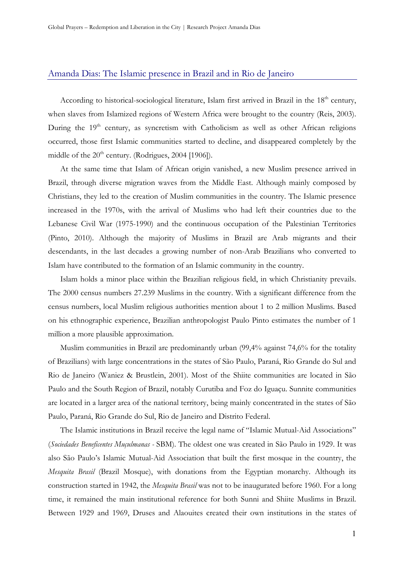## Amanda Dias: The Islamic presence in Brazil and in Rio de Janeiro

According to historical-sociological literature, Islam first arrived in Brazil in the 18<sup>th</sup> century, when slaves from Islamized regions of Western Africa were brought to the country (Reis, 2003). During the 19<sup>th</sup> century, as syncretism with Catholicism as well as other African religions occurred, those first Islamic communities started to decline, and disappeared completely by the middle of the  $20<sup>th</sup>$  century. (Rodrigues, 2004 [1906]).

At the same time that Islam of African origin vanished, a new Muslim presence arrived in Brazil, through diverse migration waves from the Middle East. Although mainly composed by Christians, they led to the creation of Muslim communities in the country. The Islamic presence increased in the 1970s, with the arrival of Muslims who had left their countries due to the Lebanese Civil War (1975-1990) and the continuous occupation of the Palestinian Territories (Pinto, 2010). Although the majority of Muslims in Brazil are Arab migrants and their descendants, in the last decades a growing number of non-Arab Brazilians who converted to Islam have contributed to the formation of an Islamic community in the country.

Islam holds a minor place within the Brazilian religious field, in which Christianity prevails. The 2000 census numbers 27.239 Muslims in the country. With a significant difference from the census numbers, local Muslim religious authorities mention about 1 to 2 million Muslims. Based on his ethnographic experience, Brazilian anthropologist Paulo Pinto estimates the number of 1 million a more plausible approximation.

Muslim communities in Brazil are predominantly urban (99,4% against 74,6% for the totality of Brazilians) with large concentrations in the states of São Paulo, Paraná, Rio Grande do Sul and Rio de Janeiro (Waniez & Brustlein, 2001). Most of the Shiite communities are located in São Paulo and the South Region of Brazil, notably Curutiba and Foz do Iguaçu. Sunnite communities are located in a larger area of the national territory, being mainly concentrated in the states of São Paulo, Paraná, Rio Grande do Sul, Rio de Janeiro and Distrito Federal.

The Islamic institutions in Brazil receive the legal name of "Islamic Mutual-Aid Associations" (*Sociedades Beneficentes Muçulmanas -* SBM). The oldest one was created in São Paulo in 1929. It was also São Paulo's Islamic Mutual-Aid Association that built the first mosque in the country, the *Mesquita Brasil* (Brazil Mosque), with donations from the Egyptian monarchy. Although its construction started in 1942, the *Mesquita Brasil* was not to be inaugurated before 1960. For a long time, it remained the main institutional reference for both Sunni and Shiite Muslims in Brazil. Between 1929 and 1969, Druses and Alaouites created their own institutions in the states of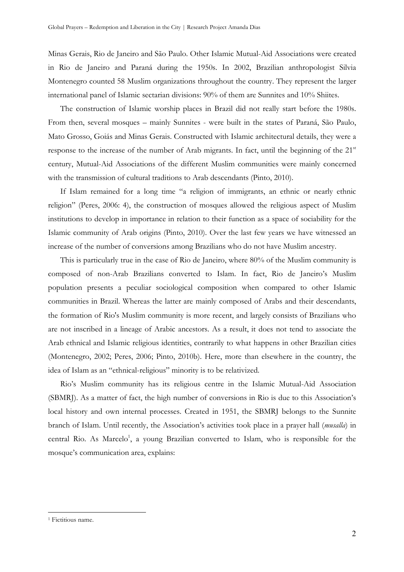Minas Gerais, Rio de Janeiro and São Paulo. Other Islamic Mutual-Aid Associations were created in Rio de Janeiro and Paraná during the 1950s. In 2002, Brazilian anthropologist Silvia Montenegro counted 58 Muslim organizations throughout the country. They represent the larger international panel of Islamic sectarian divisions: 90% of them are Sunnites and 10% Shiites.

The construction of Islamic worship places in Brazil did not really start before the 1980s. From then, several mosques – mainly Sunnites - were built in the states of Paraná, São Paulo, Mato Grosso, Goiás and Minas Gerais. Constructed with Islamic architectural details, they were a response to the increase of the number of Arab migrants. In fact, until the beginning of the  $21<sup>st</sup>$ century, Mutual-Aid Associations of the different Muslim communities were mainly concerned with the transmission of cultural traditions to Arab descendants (Pinto, 2010).

If Islam remained for a long time "a religion of immigrants, an ethnic or nearly ethnic religion" (Peres, 2006: 4), the construction of mosques allowed the religious aspect of Muslim institutions to develop in importance in relation to their function as a space of sociability for the Islamic community of Arab origins (Pinto, 2010). Over the last few years we have witnessed an increase of the number of conversions among Brazilians who do not have Muslim ancestry.

This is particularly true in the case of Rio de Janeiro, where 80% of the Muslim community is composed of non-Arab Brazilians converted to Islam. In fact, Rio de Janeiro's Muslim population presents a peculiar sociological composition when compared to other Islamic communities in Brazil. Whereas the latter are mainly composed of Arabs and their descendants, the formation of Rio's Muslim community is more recent, and largely consists of Brazilians who are not inscribed in a lineage of Arabic ancestors. As a result, it does not tend to associate the Arab ethnical and Islamic religious identities, contrarily to what happens in other Brazilian cities (Montenegro, 2002; Peres, 2006; Pinto, 2010b). Here, more than elsewhere in the country, the idea of Islam as an "ethnical-religious" minority is to be relativized.

Rio's Muslim community has its religious centre in the Islamic Mutual-Aid Association (SBMRJ). As a matter of fact, the high number of conversions in Rio is due to this Association's local history and own internal processes. Created in 1951, the SBMRJ belongs to the Sunnite branch of Islam. Until recently, the Association's activities took place in a prayer hall (*musalla*) in central Rio. As Marcelo<sup>1</sup>, a young Brazilian converted to Islam, who is responsible for the mosque's communication area, explains:

l.

<sup>&</sup>lt;sup>1</sup> Fictitious name.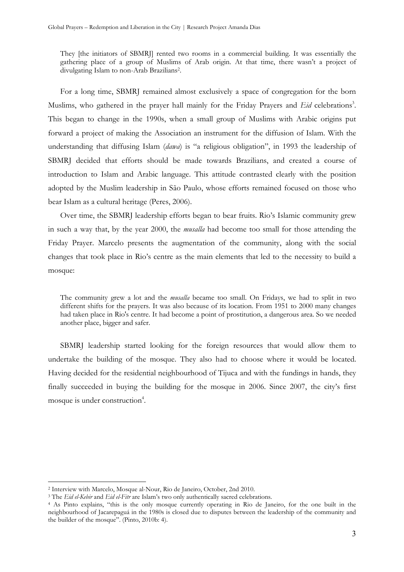They [the initiators of SBMRJ] rented two rooms in a commercial building. It was essentially the gathering place of a group of Muslims of Arab origin. At that time, there wasn't a project of divulgating Islam to non-Arab Brazilians<sup>2</sup> .

For a long time, SBMRJ remained almost exclusively a space of congregation for the born Muslims, who gathered in the prayer hall mainly for the Friday Prayers and *Eid* celebrations<sup>3</sup>. This began to change in the 1990s, when a small group of Muslims with Arabic origins put forward a project of making the Association an instrument for the diffusion of Islam. With the understanding that diffusing Islam (*dawa*) is "a religious obligation", in 1993 the leadership of SBMRJ decided that efforts should be made towards Brazilians, and created a course of introduction to Islam and Arabic language. This attitude contrasted clearly with the position adopted by the Muslim leadership in São Paulo, whose efforts remained focused on those who bear Islam as a cultural heritage (Peres, 2006).

Over time, the SBMRJ leadership efforts began to bear fruits. Rio's Islamic community grew in such a way that, by the year 2000, the *musalla* had become too small for those attending the Friday Prayer. Marcelo presents the augmentation of the community, along with the social changes that took place in Rio's centre as the main elements that led to the necessity to build a mosque:

The community grew a lot and the *musalla* became too small. On Fridays, we had to split in two different shifts for the prayers. It was also because of its location. From 1951 to 2000 many changes had taken place in Rio's centre. It had become a point of prostitution, a dangerous area. So we needed another place, bigger and safer.

SBMRJ leadership started looking for the foreign resources that would allow them to undertake the building of the mosque. They also had to choose where it would be located. Having decided for the residential neighbourhood of Tijuca and with the fundings in hands, they finally succeeded in buying the building for the mosque in 2006. Since 2007, the city's first mosque is under construction<sup>4</sup>.

l.

<sup>2</sup> Interview with Marcelo, Mosque al-Nour, Rio de Janeiro, October, 2nd 2010.

<sup>3</sup> The *Eid el-Kebir* and *Eid el-Fitr* are Islam's two only authentically sacred celebrations.

<sup>4</sup> As Pinto explains, "this is the only mosque currently operating in Rio de Janeiro, for the one built in the neighbourhood of Jacarepaguá in the 1980s is closed due to disputes between the leadership of the community and the builder of the mosque". (Pinto, 2010b: 4).